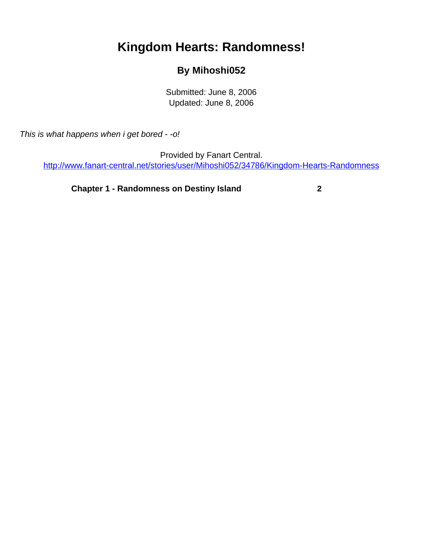## <span id="page-0-0"></span>**Kingdom Hearts: Randomness!**

## **By Mihoshi052**

Submitted: June 8, 2006 Updated: June 8, 2006

This is what happens when i get bored - -o!

Provided by Fanart Central. [http://www.fanart-central.net/stories/user/Mihoshi052/34786/Kingdom-Hearts-Randomness](#page-0-0)

**[Chapter 1 - Randomness on Destiny Island](#page-1-0) [2](#page-1-0)**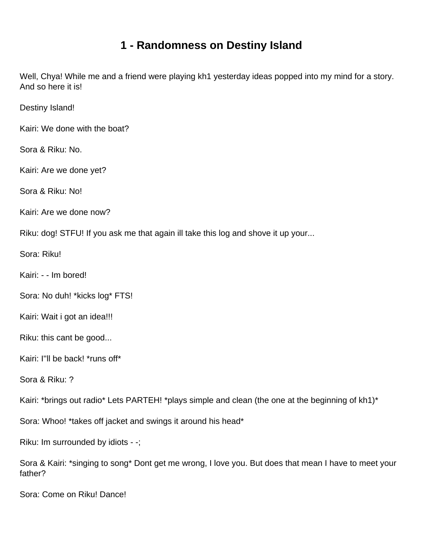## **1 - Randomness on Destiny Island**

<span id="page-1-0"></span>Well, Chya! While me and a friend were playing kh1 yesterday ideas popped into my mind for a story. And so here it is!

Destiny Island!

Kairi: We done with the boat?

Sora & Riku: No.

Kairi: Are we done yet?

Sora & Riku: No!

Kairi: Are we done now?

Riku: dog! STFU! If you ask me that again ill take this log and shove it up your...

Sora: Riku!

Kairi: - - Im bored!

Sora: No duh! \*kicks log\* FTS!

Kairi: Wait i got an idea!!!

Riku: this cant be good...

Kairi: I''ll be back! \*runs off\*

Sora & Riku: ?

Kairi: \*brings out radio\* Lets PARTEH! \*plays simple and clean (the one at the beginning of kh1)\*

Sora: Whoo! \*takes off jacket and swings it around his head\*

Riku: Im surrounded by idiots - -;

Sora & Kairi: \*singing to song\* Dont get me wrong, I love you. But does that mean I have to meet your father?

Sora: Come on Riku! Dance!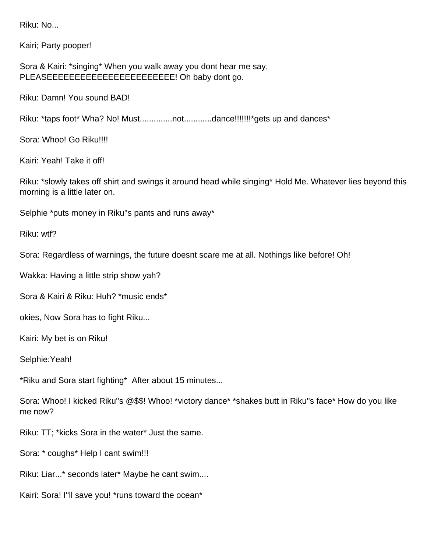Riku: No...

Kairi; Party pooper!

Sora & Kairi: \*singing\* When you walk away you dont hear me say, PLEASEEEEEEEEEEEEEEEEEEEEEEE! Oh baby dont go.

Riku: Damn! You sound BAD!

Riku: \*taps foot\* Wha? No! Must...............not..............dance!!!!!!!\*gets up and dances\*

Sora: Whoo! Go Riku!!!!

Kairi: Yeah! Take it off!

Riku: \*slowly takes off shirt and swings it around head while singing\* Hold Me. Whatever lies beyond this morning is a little later on.

Selphie \*puts money in Riku''s pants and runs away\*

Riku: wtf?

Sora: Regardless of warnings, the future doesnt scare me at all. Nothings like before! Oh!

Wakka: Having a little strip show yah?

Sora & Kairi & Riku: Huh? \*music ends\*

okies, Now Sora has to fight Riku...

Kairi: My bet is on Riku!

Selphie:Yeah!

\*Riku and Sora start fighting\* After about 15 minutes...

Sora: Whoo! I kicked Riku''s @\$\$! Whoo! \*victory dance\* \*shakes butt in Riku''s face\* How do you like me now?

Riku: TT; \*kicks Sora in the water\* Just the same.

Sora: \* coughs\* Help I cant swim!!!

Riku: Liar...\* seconds later\* Maybe he cant swim....

Kairi: Sora! I''ll save you! \*runs toward the ocean\*